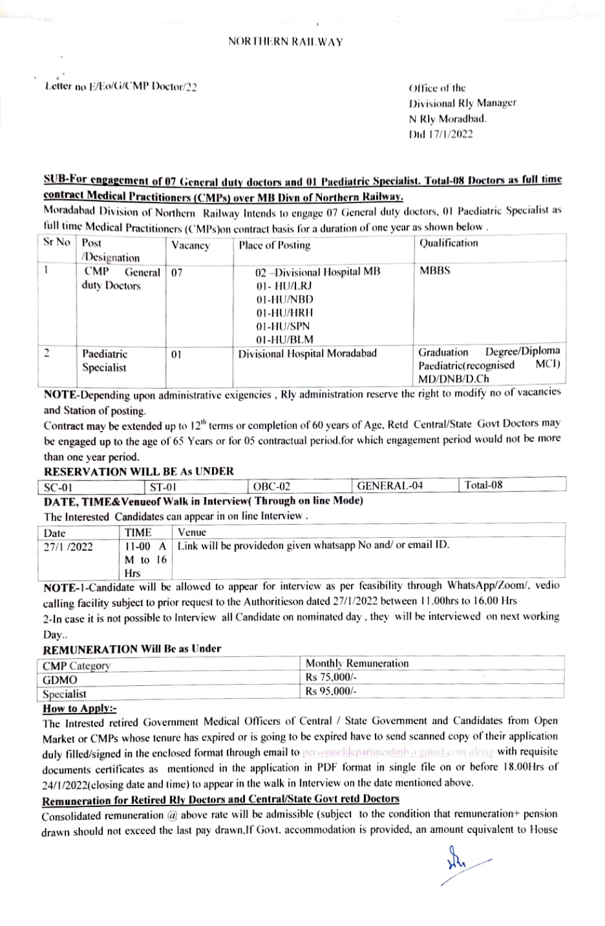#### Letter no E/Eo/G/CMP Doctor/22 Communication of the contract of the contract of the contract of the contract of the contract of the contract of the contract of the contract of the contract of the contract of the contract o

Divisional Rly Manager N Rly Moradbad. Dd 17/1/2022

# SUB-For engagement of 07 General duty doctors and 01 Paediatric Specialist. Total-08 Doctors as full time<br>contract Medical Practitioners (CMPs) over MB Divn of Northern Railway.

Moradabad Division of Northern Railway Intends to engage 07 General duty doctors, 01 Paediatric Specialist as full time Medical Practitioners (CMPs)on contract basis for a duration of one year as shown below .

| Sr No          | Post<br>/Designation                  | Vacancy | <b>Place of Posting</b>                                                                       | Qualification                                                                |
|----------------|---------------------------------------|---------|-----------------------------------------------------------------------------------------------|------------------------------------------------------------------------------|
|                | <b>CMP</b><br>General<br>duty Doctors | 07      | 02 - Divisional Hospital MB<br>01- HU/LRJ<br>01-HU/NBD<br>01-HU/HRH<br>01-HU/SPN<br>01-HU/BLM | MBBS                                                                         |
| $\overline{c}$ | Paediatric<br>Specialist              | 01      | Divisional Hospital Moradabad                                                                 | Degree/Diploma<br>Graduation<br>MCI)<br>Paediatric(recognised<br>MD/DNB/D.Ch |

MD/DNB/LD.Ch NOTE-Depending upon administrative exigencies , Rly administration reserve the right to modify no of vacancies and Station of posting.

Contract may be extended up to 12<sup>th</sup> terms or completion of 60 years of Age, Retd Central/State Govt Doctors may be engaged up to the age of 65 Years or for 05 contractual period.for which engagement period would not be more than one year period.

#### RESERVATION WILL BE As UNDER

| SC-01                                                      | ST-01                                                   | $OBC-02$ | GENERAL-04 | Total-08 |  |  |  |  |
|------------------------------------------------------------|---------------------------------------------------------|----------|------------|----------|--|--|--|--|
| DATE, TIME&Venueof Walk in Interview(Through on line Mode) |                                                         |          |            |          |  |  |  |  |
|                                                            | marchine and Could because and accounts on line between |          |            |          |  |  |  |  |

#### The Interested Candidates can appear in on line Interview.

| Date       | TIME      | Venue                                                               |
|------------|-----------|---------------------------------------------------------------------|
| 27/1 /2022 |           | 11-00 A Link will be provided on given whatsapp No and/or email ID. |
|            | $M$ to 16 |                                                                     |
|            | Hrs       |                                                                     |

Hrs<br>NOTE-1-Candidate will be allowed to appear for interview as per feasibility through WhatsApp/Zoom/, vedio calling facility subject to prior equest to the Authoritieson dated 27/1/2022 between 11.00hrs to 16.00 Hrs 2-In case it is not possible to Interview all Candidate on nominated day. they will be interviewed on next working Day..

#### REMUNERATION Will Be as Under

| <b>CMP</b> Category | Monthly Remuneration |  |
|---------------------|----------------------|--|
| GDMO                | Rs 75,000/-          |  |
|                     | Rs 95,000/-          |  |
| Specialist          |                      |  |

How to Apply:-<br>The Intrested retired Government Medical Officers of Central / State Government and Candidates from Open Market or CMPs whose tenure has expired or is going to be expired have to send scanned copy of their application duly filled/signed in the enclosed format through email to personneldepartmentambu gunail.com along with requisite documents ertificates as mentioned in the appliecation in PDF format in single file on or before 18.00Hrs of 24/1/2022(closing date and time) to appear in the walk in Interview on the date mentioned above.

#### Remuneration for Retired Rly Doctors and Central/State Govt retd Doctors

Consolidated remuneration  $@$  above rate will be admissible (subject to the condition that remuneration+ pension drawn should not exceed the last pay drawn.If Govt. accommodation is provided, an amount equivalent to House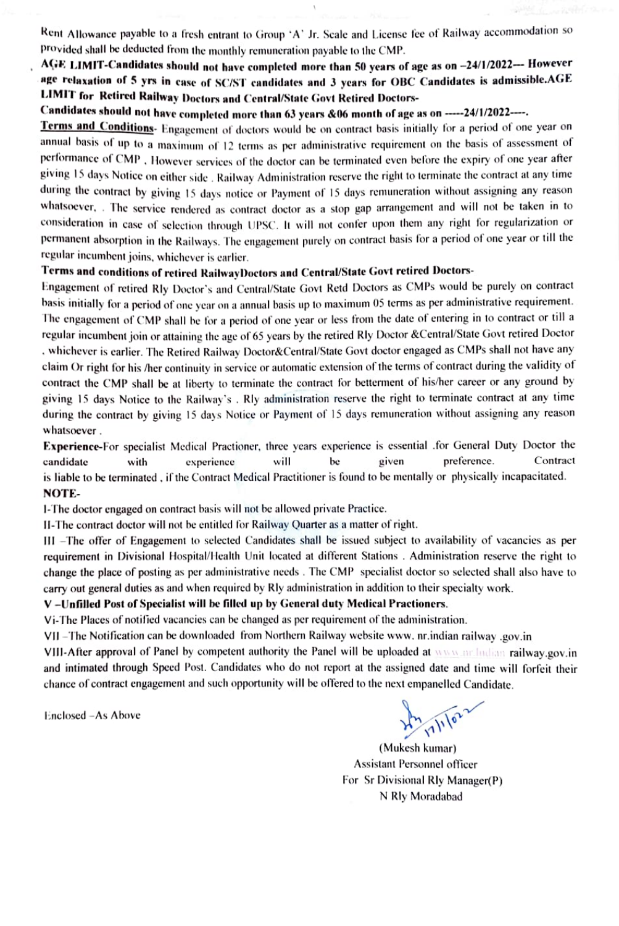Rent Allowance payable to a fresh entrant to Group 'A' Jr. Scale and License fee of Railway accommodation so provided shall be deducted from the monthly remuneration payable to the CMP.

### AGE LIMIT-Candidates should not have completed more than 50 years of age as on -24/1/2022-- However age relaxation of 5 yrs in case of SC/ST candidates and 3 years for OBC Candidates is admissible.AGE LIMIT for Retired Railway Doctors and Central/State Govt Retired Doctors-

Candidates should not have completed more than 63 years &06 month of age as on -----24/1/2022-----.

Terms and Conditions- Engagement of doctors would be on contract basis initially for a period of one year on annual basis of up to a maximum of 12 terms as per administrative requirement on the basis of assessment of performance of CMP . However services of the doctor can be terminated even before the expiry of one year after giving 15 days Notice on either side. Railway Administration reserve the right to terminate the contract at any time during the contract by giving 15 days notice or Payment of 15 days remuneration without assigning any reason whatsoever, . The service rendered as contract doctor as a stop gap arrangement and will not be taken in to consideration in case of selection through UPSC. It will not confer upon them any right for regularization or permanent absorption in the Railways. The engagement purely on contract basis lor a period of one year or till he regular incumbent joins, whichever is earlier.

#### Terms and conditions of retired RailwayDoctors and Central/State Govt retired Doctors-

Engagement of retired Rly Doctor's and Central/ State Govt Retd Doctors as CMPs would be purely on contract basis initially for a period of one year on a annual basis up to maximum 05 terms as per administrative requirement.<br>The engagement of CMP shall be for a period of one year or less from the date of entering in to contract regular incumbent join or attaining the age of 65 ycars by the retined Riy Doctor &Central'State Govt retired Doctor . whichever is carlier. The Retired Railway Doctor&Central/State Govt doctor engaged as CMPs shall not have any claim Or right for his her continuity in service or automatic extension of the terms of contract during the validity of contract the CMP shall be at liberty to terminate the contract for betterment of his/her career or any ground by giving 15 days Notice to the Railway's . Rly administration reserve the right to terminate contract at any time during the contract by giving 15 days Notice or Payment of 15 days remuneration without assigning any reason whatsoever.

Experience-For specialist Medical Practioner, three years experience is essential for General Duty Doctor the candidate with experience will be given preference. Contract is liable to be terminated, if the Contract Medical Practitioner is found to be mentally or physically incapacitated. NOTE

1-The doctor engaged on contract basis will not be allowed private Practice.

I1-The contract doctor will not be entitled for Railway Quarter as a matter of right.

III -The offer of Engagement to selected Candidates shall be issued subject to availability of vacancies as per requirement in Divisional Hospital/Health Unit located at different Stations . Administration reserve the right to change the place of posting as per administrative necds. The CMP specialist doctor so selected shall also have to carry out general duties as and when required by Rly administralion in addition to their specialty work.

#### V-Unfilled Post of Specialist will be filled up by General duty Medical Practioners.

Vi-The Places of notilied vacancies can be changed as per requirement of the administration.

VII -The Notification can be downloaded from Northern Railway website www. nr.indian railway gov.in

VII1-After approval of Pancl by competent authority the Panel will be uploaded at wws nr lndhan railway-gov.in and intimated through Speed Post. Candidates who do not report at the assigned date and time will forfeit their chance of contract engagement and such opportunity will be offered to the next empanelled Candidate.

Enclosed -As Above

 $\frac{1}{2} \frac{1}{10^{11}}$ 

(Mukesh kumar) Assistant Personnel ofticer For Sr Divisional Rly Manager(P) N Rly Moradabad